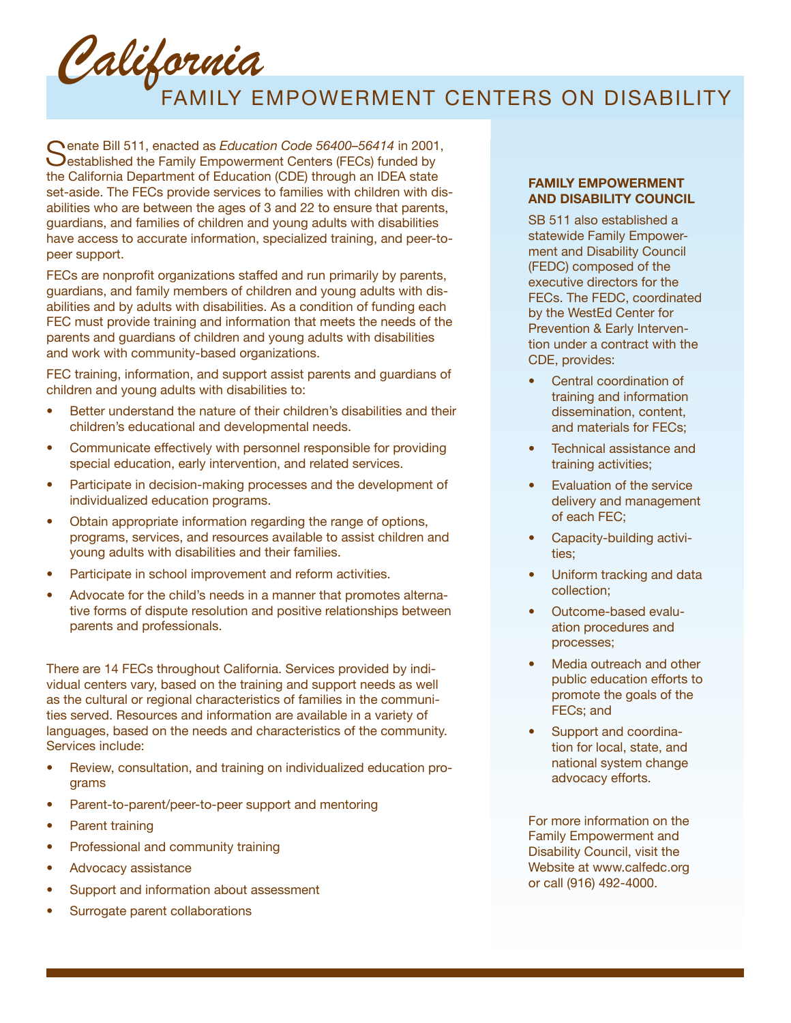California

## FAMILY EMPOWERMENT CENTERS ON DISABILITY

Senate Bill 511, enacted as *Education Code 56400–56414* in 2001,  $\bigcup$ established the Family Empowerment Centers (FECs) funded by the California Department of Education (CDE) through an IDEA state set-aside. The FECs provide services to families with children with disabilities who are between the ages of 3 and 22 to ensure that parents, guardians, and families of children and young adults with disabilities have access to accurate information, specialized training, and peer-topeer support.

FECs are nonprofit organizations staffed and run primarily by parents, guardians, and family members of children and young adults with disabilities and by adults with disabilities. As a condition of funding each FEC must provide training and information that meets the needs of the parents and guardians of children and young adults with disabilities and work with community-based organizations.

FEC training, information, and support assist parents and guardians of children and young adults with disabilities to:

- **•** Better understand the nature of their children's disabilities and their children's educational and developmental needs.
- Communicate effectively with personnel responsible for providing special education, early intervention, and related services.
- Participate in decision-making processes and the development of individualized education programs.
- Obtain appropriate information regarding the range of options, programs, services, and resources available to assist children and young adults with disabilities and their families.
- Participate in school improvement and reform activities.
- Advocate for the child's needs in a manner that promotes alternative forms of dispute resolution and positive relationships between parents and professionals.

There are 14 FECs throughout California. Services provided by individual centers vary, based on the training and support needs as well as the cultural or regional characteristics of families in the communities served. Resources and information are available in a variety of languages, based on the needs and characteristics of the community. Services include:

- Review, consultation, and training on individualized education programs
- Parent-to-parent/peer-to-peer support and mentoring
- Parent training
- Professional and community training
- Advocacy assistance
- Support and information about assessment
- Surrogate parent collaborations

## **FAMILY EMPOWERMENT AND DISABILITY COUNCIL**

SB 511 also established a statewide Family Empowerment and Disability Council (FEDC) composed of the executive directors for the FECs. The FEDC, coordinated by the WestEd Center for Prevention & Early Intervention under a contract with the CDE, provides:

- Central coordination of training and information dissemination, content, and materials for FECs;
- Technical assistance and training activities;
- Evaluation of the service delivery and management of each FEC;
- Capacity-building activities;
- Uniform tracking and data collection;
- Outcome-based evaluation procedures and processes;
- Media outreach and other public education efforts to promote the goals of the FECs; and
- Support and coordination for local, state, and national system change advocacy efforts.

For more information on the Family Empowerment and Disability Council, visit the Website at www.calfedc.org or call (916) 492-4000.